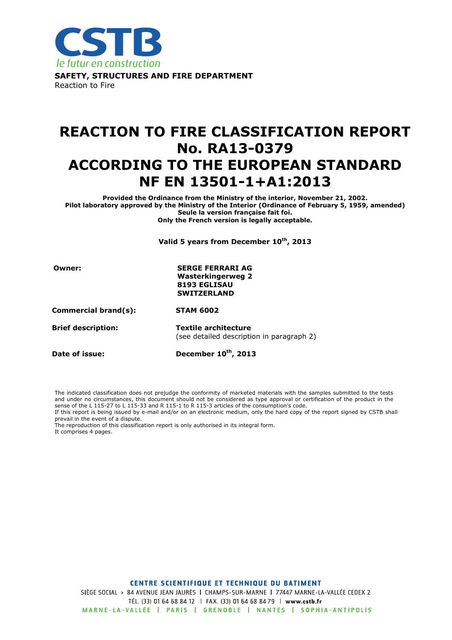

# REACTION TO FIRE CLASSIFICATION REPORT No. RA13-0379 ACCORDING TO THE EUROPEAN STANDARD NF EN 13501-1+A1:2013

Provided the Ordinance from the Ministry of the interior, November 21, 2002. Pilot laboratory approved by the Ministry of the Interior (Ordinance of February 5, 1959, amended) Seule la version française fait foi. Only the French version is legally acceptable.

Valid 5 years from December 10<sup>th</sup>, 2013

#### Owner: SERGE FERRARI AG Wasterkingerweg 2 8193 EGLISAU SWITZERLAND

Commercial brand(s): STAM 6002

Brief description: Textile architecture (see detailed description in paragraph 2)

Date of issue: December 10<sup>th</sup>, 2013

The indicated classification does not prejudge the conformity of marketed materials with the samples submitted to the tests and under no circumstances, this document should not be considered as type approval or certification of the product in the sense of the L 115-27 to L 115-33 and R 115-1 to R 115-3 articles of the consumption's code.

If this report is being issued by e-mail and/or on an electronic medium, only the hard copy of the report signed by CSTB shall prevail in the event of a dispute.

The reproduction of this classification report is only authorised in its integral form. It comprises 4 pages.

**CENTRE SCIENTIFIQUE ET TECHNIQUE DU BATIMENT** 

SIÈGE SOCIAL > 84 AVENUE JEAN JAURÈS | CHAMPS-SUR-MARNE | 77447 MARNE-LA-VALLÉE CEDEX 2 TÉL. (33) 01 64 68 84 12 | FAX. (33) 01 64 68 84 79 | www.cstb.fr MARNE-LA-VALLÉE | PARIS | GRENOBLE | NANTES | SOPHIA-ANTIPOLIS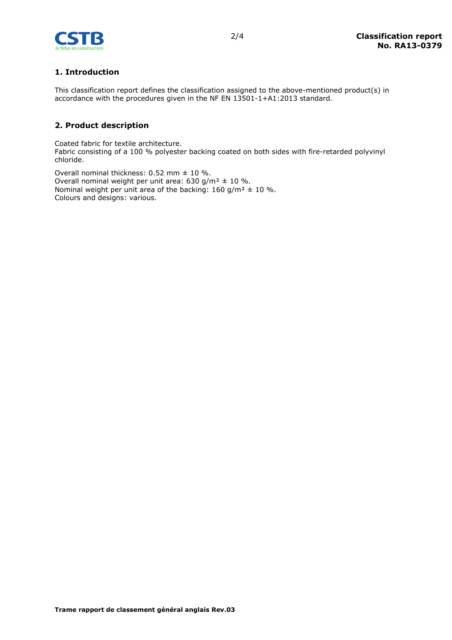

## 1. Introduction

This classification report defines the classification assigned to the above-mentioned product(s) in accordance with the procedures given in the NF EN 13501-1+A1:2013 standard.

## 2. Product description

Coated fabric for textile architecture. Fabric consisting of a 100 % polyester backing coated on both sides with fire-retarded polyvinyl chloride.

Overall nominal thickness: 0.52 mm ± 10 %. Overall nominal weight per unit area:  $630$  g/m<sup>2</sup>  $\pm$  10 %. Nominal weight per unit area of the backing:  $160$  g/m<sup>2</sup>  $\pm$  10 %. Colours and designs: various.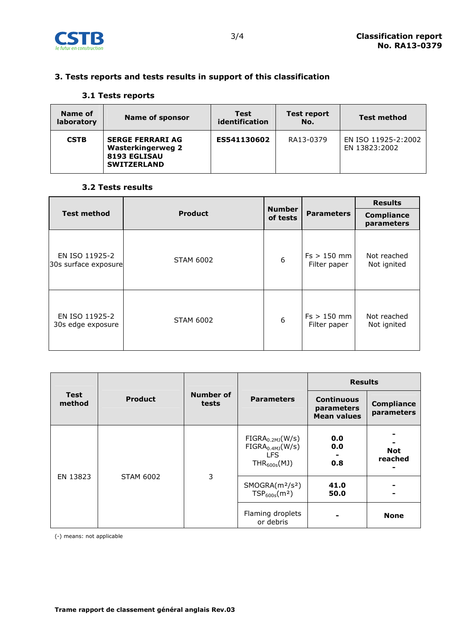

## 3. Tests reports and tests results in support of this classification

### 3.1 Tests reports

| Name of<br>laboratory | Name of sponsor                                                                           | <b>Test</b><br>identification | Test report<br>No. | <b>Test method</b>                   |
|-----------------------|-------------------------------------------------------------------------------------------|-------------------------------|--------------------|--------------------------------------|
| <b>CSTB</b>           | <b>SERGE FERRARI AG</b><br><b>Wasterkingerweg 2</b><br>8193 EGLISAU<br><b>SWITZERLAND</b> | ES541130602                   | RA13-0379          | EN ISO 11925-2:2002<br>EN 13823:2002 |

## 3.2 Tests results

|                                        |                  | <b>Number</b><br>of tests |                               | <b>Results</b>                  |
|----------------------------------------|------------------|---------------------------|-------------------------------|---------------------------------|
| <b>Test method</b>                     | <b>Product</b>   |                           | <b>Parameters</b>             | <b>Compliance</b><br>parameters |
| EN ISO 11925-2<br>30s surface exposure | <b>STAM 6002</b> | 6                         | $Fs > 150$ mm<br>Filter paper | Not reached<br>Not ignited      |
| EN ISO 11925-2<br>30s edge exposure    | <b>STAM 6002</b> | 6                         | $Fs > 150$ mm<br>Filter paper | Not reached<br>Not ignited      |

|                       | <b>Product</b>   | <b>Number of</b><br>tests |                                                                                        | <b>Results</b>                                        |                                 |
|-----------------------|------------------|---------------------------|----------------------------------------------------------------------------------------|-------------------------------------------------------|---------------------------------|
| <b>Test</b><br>method |                  |                           | <b>Parameters</b>                                                                      | <b>Continuous</b><br>parameters<br><b>Mean values</b> | <b>Compliance</b><br>parameters |
| EN 13823              | <b>STAM 6002</b> | 3                         | FIGRA <sub>0.2MJ</sub> (W/s)<br>$FIGRA_{0.4MJ}(W/s)$<br><b>LFS</b><br>$THR_{600s}(MJ)$ | 0.0<br>0.0<br>0.8                                     | <b>Not</b><br>reached           |
|                       |                  |                           | $SMOGRA(m^2/s^2)$<br>$TSP_{600s}(m^2)$                                                 | 41.0<br>50.0                                          |                                 |
|                       |                  |                           | Flaming droplets<br>or debris                                                          |                                                       | <b>None</b>                     |

(-) means: not applicable